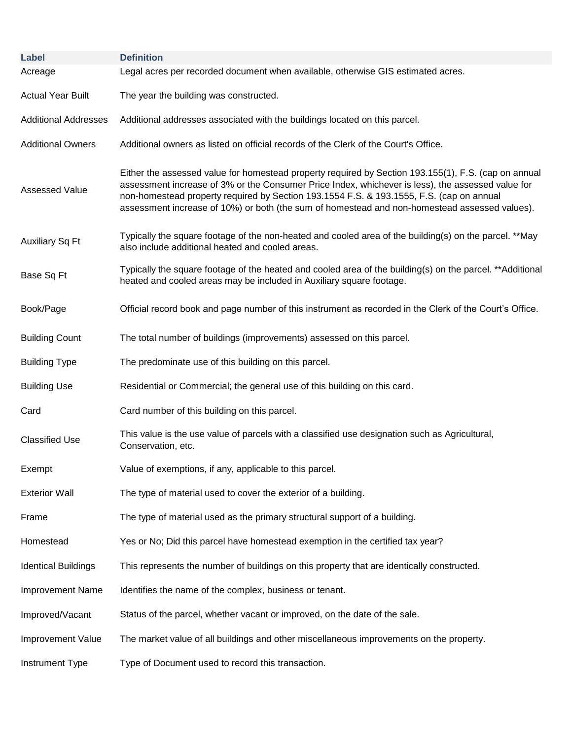| Label                       | <b>Definition</b>                                                                                                                                                                                                                                                                                                                                                                                      |
|-----------------------------|--------------------------------------------------------------------------------------------------------------------------------------------------------------------------------------------------------------------------------------------------------------------------------------------------------------------------------------------------------------------------------------------------------|
| Acreage                     | Legal acres per recorded document when available, otherwise GIS estimated acres.                                                                                                                                                                                                                                                                                                                       |
| <b>Actual Year Built</b>    | The year the building was constructed.                                                                                                                                                                                                                                                                                                                                                                 |
| <b>Additional Addresses</b> | Additional addresses associated with the buildings located on this parcel.                                                                                                                                                                                                                                                                                                                             |
| <b>Additional Owners</b>    | Additional owners as listed on official records of the Clerk of the Court's Office.                                                                                                                                                                                                                                                                                                                    |
| <b>Assessed Value</b>       | Either the assessed value for homestead property required by Section 193.155(1), F.S. (cap on annual<br>assessment increase of 3% or the Consumer Price Index, whichever is less), the assessed value for<br>non-homestead property required by Section 193.1554 F.S. & 193.1555, F.S. (cap on annual<br>assessment increase of 10%) or both (the sum of homestead and non-homestead assessed values). |
| <b>Auxiliary Sq Ft</b>      | Typically the square footage of the non-heated and cooled area of the building(s) on the parcel. **May<br>also include additional heated and cooled areas.                                                                                                                                                                                                                                             |
| Base Sq Ft                  | Typically the square footage of the heated and cooled area of the building(s) on the parcel. **Additional<br>heated and cooled areas may be included in Auxiliary square footage.                                                                                                                                                                                                                      |
| Book/Page                   | Official record book and page number of this instrument as recorded in the Clerk of the Court's Office.                                                                                                                                                                                                                                                                                                |
| <b>Building Count</b>       | The total number of buildings (improvements) assessed on this parcel.                                                                                                                                                                                                                                                                                                                                  |
| <b>Building Type</b>        | The predominate use of this building on this parcel.                                                                                                                                                                                                                                                                                                                                                   |
| <b>Building Use</b>         | Residential or Commercial; the general use of this building on this card.                                                                                                                                                                                                                                                                                                                              |
| Card                        | Card number of this building on this parcel.                                                                                                                                                                                                                                                                                                                                                           |
| <b>Classified Use</b>       | This value is the use value of parcels with a classified use designation such as Agricultural,<br>Conservation, etc.                                                                                                                                                                                                                                                                                   |
| Exempt                      | Value of exemptions, if any, applicable to this parcel.                                                                                                                                                                                                                                                                                                                                                |
| <b>Exterior Wall</b>        | The type of material used to cover the exterior of a building.                                                                                                                                                                                                                                                                                                                                         |
| Frame                       | The type of material used as the primary structural support of a building.                                                                                                                                                                                                                                                                                                                             |
| Homestead                   | Yes or No; Did this parcel have homestead exemption in the certified tax year?                                                                                                                                                                                                                                                                                                                         |
| <b>Identical Buildings</b>  | This represents the number of buildings on this property that are identically constructed.                                                                                                                                                                                                                                                                                                             |
| <b>Improvement Name</b>     | Identifies the name of the complex, business or tenant.                                                                                                                                                                                                                                                                                                                                                |
| Improved/Vacant             | Status of the parcel, whether vacant or improved, on the date of the sale.                                                                                                                                                                                                                                                                                                                             |
| <b>Improvement Value</b>    | The market value of all buildings and other miscellaneous improvements on the property.                                                                                                                                                                                                                                                                                                                |
| Instrument Type             | Type of Document used to record this transaction.                                                                                                                                                                                                                                                                                                                                                      |